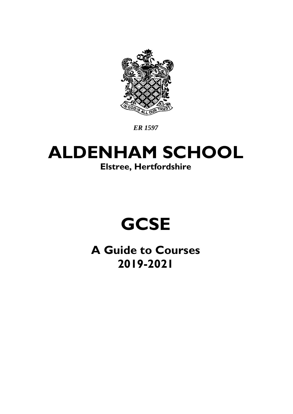

*ER 1597*

## **ALDENHAM SCHOOL Elstree, Hertfordshire**

# **GCSE**

**A Guide to Courses 2019-2021**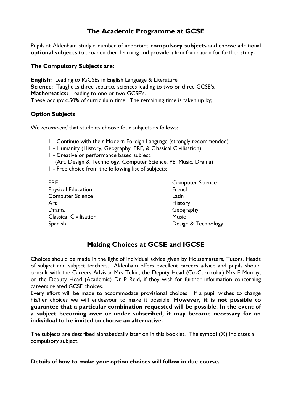## **The Academic Programme at GCSE**

Pupils at Aldenham study a number of important **compulsory subjects** and choose additional **optional subjects** to broaden their learning and provide a firm foundation for further study**.** 

#### **The Compulsory Subjects are:**

**English:** Leading to IGCSEs in English Language & Literature **Science:** Taught as three separate sciences leading to two or three GCSE's. **Mathematics:** Leading to one or two GCSE's. These occupy c.50% of curriculum time. The remaining time is taken up by;

#### **Option Subjects**

We *recommend* that students choose four subjects as follows:

- 1 Continue with their Modern Foreign Language (strongly recommended)
- 1 Humanity (History, Geography, PRE, & Classical Civilisation)
- 1 Creative or performance based subject (Art, Design & Technology, Computer Science, PE, Music, Drama)
- 1 Free choice from the following list of subjects:

| <b>PRE</b>                    | <b>Computer Science</b> |
|-------------------------------|-------------------------|
| <b>Physical Education</b>     | French                  |
| <b>Computer Science</b>       | Latin                   |
| Art                           | <b>History</b>          |
| Drama                         | Geography               |
| <b>Classical Civilisation</b> | <b>Music</b>            |
| Spanish                       | Design & Technology     |

## **Making Choices at GCSE and IGCSE**

Choices should be made in the light of individual advice given by Housemasters, Tutors, Heads of subject and subject teachers. Aldenham offers excellent careers advice and pupils should consult with the Careers Advisor Mrs Tekin, the Deputy Head (Co-Curricular) Mrs E Murray, or the Deputy Head (Academic) Dr P Reid, if they wish for further information concerning careers related GCSE choices.

Every effort will be made to accommodate provisional choices. If a pupil wishes to change his/her choices we will endeavour to make it possible. **However, it is not possible to guarantee that a particular combination requested will be possible. In the event of a subject becoming over or under subscribed, it may become necessary for an individual to be invited to choose an alternative.** 

The subjects are described alphabetically later on in this booklet. The symbol **(©)** indicates a compulsory subject.

**Details of how to make your option choices will follow in due course.**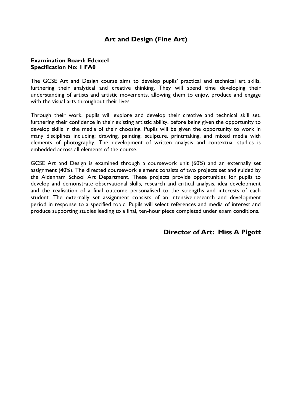## **Art and Design (Fine Art)**

#### **Examination Board: Edexcel Specification No: 1 FA0**

The GCSE Art and Design course aims to develop pupils' practical and technical art skills, furthering their analytical and creative thinking. They will spend time developing their understanding of artists and artistic movements, allowing them to enjoy, produce and engage with the visual arts throughout their lives.

Through their work, pupils will explore and develop their creative and technical skill set, furthering their confidence in their existing artistic ability, before being given the opportunity to develop skills in the media of their choosing. Pupils will be given the opportunity to work in many disciplines including; drawing, painting, sculpture, printmaking, and mixed media with elements of photography. The development of written analysis and contextual studies is embedded across all elements of the course.

GCSE Art and Design is examined through a coursework unit (60%) and an externally set assignment (40%). The directed coursework element consists of two projects set and guided by the Aldenham School Art Department. These projects provide opportunities for pupils to develop and demonstrate observational skills, research and critical analysis, idea development and the realisation of a final outcome personalised to the strengths and interests of each student. The externally set assignment consists of an intensive research and development period in response to a specified topic. Pupils will select references and media of interest and produce supporting studies leading to a final, ten-hour piece completed under exam conditions.

**Director of Art: Miss A Pigott**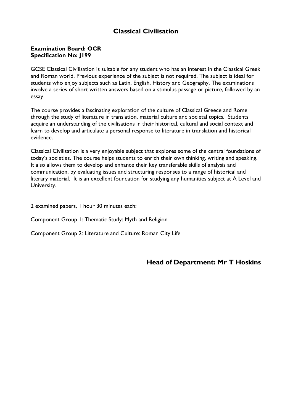## **Classical Civilisation**

#### **Examination Board: OCR Specification No: J199**

GCSE Classical Civilisation is suitable for any student who has an interest in the Classical Greek and Roman world. Previous experience of the subject is not required. The subject is ideal for students who enjoy subjects such as Latin, English, History and Geography. The examinations involve a series of short written answers based on a stimulus passage or picture, followed by an essay.

The course provides a fascinating exploration of the culture of Classical Greece and Rome through the study of literature in translation, material culture and societal topics. Students acquire an understanding of the civilisations in their historical, cultural and social context and learn to develop and articulate a personal response to literature in translation and historical evidence.

Classical Civilisation is a very enjoyable subject that explores some of the central foundations of today's societies. The course helps students to enrich their own thinking, writing and speaking. It also allows them to develop and enhance their key transferable skills of analysis and communication, by evaluating issues and structuring responses to a range of historical and literary material. It is an excellent foundation for studying any humanities subject at A Level and University.

2 examined papers, 1 hour 30 minutes each:

Component Group 1: Thematic Study: Myth and Religion

Component Group 2: Literature and Culture: Roman City Life

#### **Head of Department: Mr T Hoskins**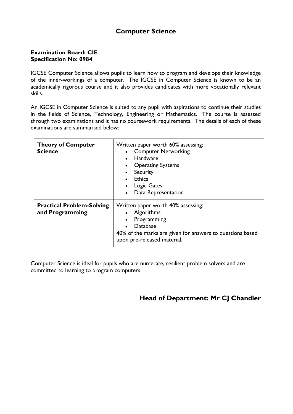## **Computer Science**

#### **Examination Board: CIE Specification No: 0984**

IGCSE Computer Science allows pupils to learn how to program and develops their knowledge of the inner-workings of a computer. The IGCSE in Computer Science is known to be an academically rigorous course and it also provides candidates with more vocationally relevant skills.

An IGCSE in Computer Science is suited to any pupil with aspirations to continue their studies in the fields of Science, Technology, Engineering or Mathematics. The course is assessed through two examinations and it has no coursework requirements. The details of each of these examinations are summarised below:

| <b>Theory of Computer</b><br><b>Science</b>         | Written paper worth 60% assessing:<br><b>Computer Networking</b><br><b>Hardware</b><br><b>Operating Systems</b><br>Security<br><b>Ethics</b><br><b>Logic Gates</b><br>Data Representation |
|-----------------------------------------------------|-------------------------------------------------------------------------------------------------------------------------------------------------------------------------------------------|
| <b>Practical Problem-Solving</b><br>and Programming | Written paper worth 40% assessing:<br>Algorithms<br>Programming<br>Database<br>40% of the marks are given for answers to questions based<br>upon pre-released material.                   |

Computer Science is ideal for pupils who are numerate, resilient problem solvers and are committed to learning to program computers.

## **Head of Department: Mr CJ Chandler**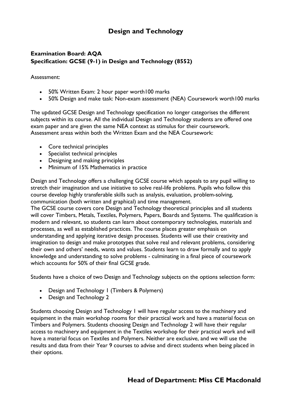## **Design and Technology**

## **Examination Board: AQA Specification: GCSE (9-1) in Design and Technology (8552)**

Assessment:

- 50% Written Exam: 2 hour paper worth 100 marks
- 50% Design and make task: Non-exam assessment (NEA) Coursework worth100 marks

The updated GCSE Design and Technology specification no longer categorises the different subjects within its course. All the individual Design and Technology students are offered one exam paper and are given the same NEA context as stimulus for their coursework. Assessment areas within both the Written Exam and the NEA Coursework:

- Core technical principles
- Specialist technical principles
- Designing and making principles
- Minimum of 15% Mathematics in practice

Design and Technology offers a challenging GCSE course which appeals to any pupil willing to stretch their imagination and use initiative to solve real-life problems. Pupils who follow this course develop highly transferable skills such as analysis, evaluation, problem-solving, communication (both written and graphical) and time management.

The GCSE course covers core Design and Technology theoretical principles and all students will cover Timbers, Metals, Textiles, Polymers, Papers, Boards and Systems. The qualification is modern and relevant, so students can learn about contemporary technologies, materials and processes, as well as established practices. The course places greater emphasis on understanding and applying iterative design processes. Students will use their creativity and imagination to design and make prototypes that solve real and relevant problems, considering their own and others' needs, wants and values. Students learn to draw formally and to apply knowledge and understanding to solve problems - culminating in a final piece of coursework which accounts for 50% of their final GCSE grade.

Students have a choice of two Design and Technology subjects on the options selection form:

- Design and Technology 1 (Timbers & Polymers)
- Design and Technology 2

Students choosing Design and Technology 1 will have regular access to the machinery and equipment in the main workshop rooms for their practical work and have a material focus on Timbers and Polymers. Students choosing Design and Technology 2 will have their regular access to machinery and equipment in the Textiles workshop for their practical work and will have a material focus on Textiles and Polymers. Neither are exclusive, and we will use the results and data from their Year 9 courses to advise and direct students when being placed in their options.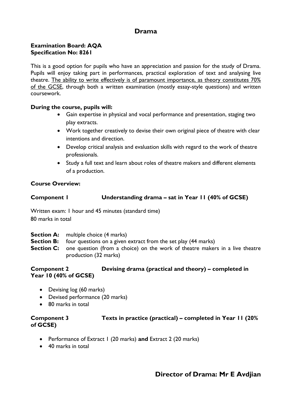## **Drama**

#### **Examination Board: AQA Specification No: 8261**

This is a good option for pupils who have an appreciation and passion for the study of Drama. Pupils will enjoy taking part in performances, practical exploration of text and analysing live theatre. The ability to write effectively is of paramount importance, as theory constitutes 70% of the GCSE, through both a written examination (mostly essay-style questions) and written coursework.

#### **During the course, pupils will:**

- Gain expertise in physical and vocal performance and presentation, staging two play extracts.
- Work together creatively to devise their own original piece of theatre with clear intentions and direction.
- Develop critical analysis and evaluation skills with regard to the work of theatre professionals.
- Study a full text and learn about roles of theatre makers and different elements of a production.

#### **Course Overview:**

### **Component 1 Understanding drama – sat in Year 11 (40% of GCSE)**

Written exam: 1 hour and 45 minutes (standard time) 80 marks in total

- **Section A:** multiple choice (4 marks)
- **Section B:** four questions on a given extract from the set play (44 marks)
- **Section C:** one question (from a choice) on the work of theatre makers in a live theatre production (32 marks)

#### **Component 2 Devising drama (practical and theory) – completed in Year 10 (40% of GCSE)**

- Devising log (60 marks)
- Devised performance (20 marks)
- 80 marks in total

#### **Component 3 Texts in practice (practical) – completed in Year 11 (20% of GCSE)**

- Performance of Extract 1 (20 marks) **and** Extract 2 (20 marks)
- 40 marks in total

## **Director of Drama: Mr E Avdjian**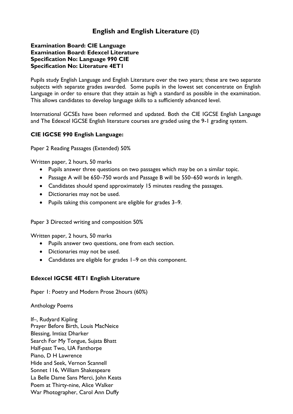## **English and English Literature (©)**

#### **Examination Board: CIE Language Examination Board: Edexcel Literature Specification No: Language 990 CIE Specification No: Literature 4ET1**

Pupils study English Language and English Literature over the two years; these are two separate subjects with separate grades awarded. Some pupils in the lowest set concentrate on English Language in order to ensure that they attain as high a standard as possible in the examination. This allows candidates to develop language skills to a sufficiently advanced level.

International GCSEs have been reformed and updated. Both the CIE IGCSE English Language and The Edexcel IGCSE English literature courses are graded using the 9-1 grading system.

#### **CIE IGCSE 990 English Language:**

Paper 2 Reading Passages (Extended) 50%

Written paper, 2 hours, 50 marks

- Pupils answer three questions on two passages which may be on a similar topic.
- Passage A will be 650–750 words and Passage B will be 550–650 words in length.
- Candidates should spend approximately 15 minutes reading the passages.
- Dictionaries may not be used.
- Pupils taking this component are eligible for grades 3–9.

Paper 3 Directed writing and composition 50%

Written paper, 2 hours, 50 marks

- Pupils answer two questions, one from each section.
- Dictionaries may not be used.
- Candidates are eligible for grades 1–9 on this component.

#### **Edexcel IGCSE 4ET1 English Literature**

Paper 1: Poetry and Modern Prose 2hours (60%)

Anthology Poems

If–, Rudyard Kipling Prayer Before Birth, Louis MacNeice Blessing, Imtiaz Dharker Search For My Tongue, Sujata Bhatt Half-past Two, UA Fanthorpe Piano, D H Lawrence Hide and Seek, Vernon Scannell Sonnet 116, William Shakespeare La Belle Dame Sans Merci, John Keats Poem at Thirty-nine, Alice Walker War Photographer, Carol Ann Duffy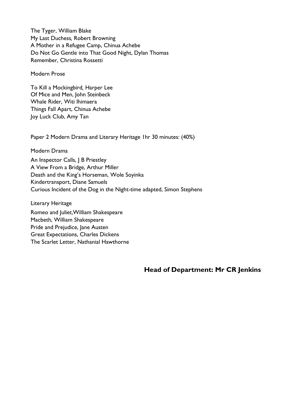The Tyger, William Blake My Last Duchess*,* Robert Browning A Mother in a Refugee Camp, Chinua Achebe Do Not Go Gentle into That Good Night, Dylan Thomas Remember, Christina Rossetti

Modern Prose

To Kill a Mockingbird*,* Harper Lee Of Mice and Men, John Steinbeck Whale Rider, Witi Ihimaera Things Fall Apart, Chinua Achebe Joy Luck Club, Amy Tan

Paper 2 Modern Drama and Literary Heritage 1hr 30 minutes: (40%)

Modern Drama

An Inspector Calls, | B Priestley A View From a Bridge, Arthur Miller Death and the King's Horseman, Wole Soyinka Kindertransport, Diane Samuels Curious Incident of the Dog in the Night-time adapted, Simon Stephens

Literary Heritage

Romeo and Juliet,William Shakespeare Macbeth, William Shakespeare Pride and Prejudice, Jane Austen Great Expectations, Charles Dickens The Scarlet Letter, Nathanial Hawthorne

**Head of Department: Mr CR Jenkins**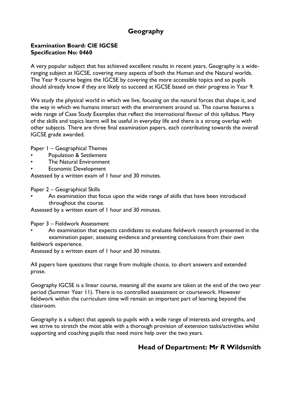## **Geography**

#### **Examination Board: CIE IGCSE Specification No: 0460**

A very popular subject that has achieved excellent results in recent years, Geography is a wideranging subject at IGCSE, covering many aspects of both the Human and the Natural worlds. The Year 9 course begins the IGCSE by covering the more accessible topics and so pupils should already know if they are likely to succeed at IGCSE based on their progress in Year 9.

We study the physical world in which we live, focusing on the natural forces that shape it, and the way in which we humans interact with the environment around us. The course features a wide range of Case Study Examples that reflect the international flavour of this syllabus. Many of the skills and topics learnt will be useful in everyday life and there is a strong overlap with other subjects. There are three final examination papers, each contributing towards the overall IGCSE grade awarded.

Paper 1 – Geographical Themes

- Population & Settlement
- The Natural Environment
- Economic Development

Assessed by a written exam of 1 hour and 30 minutes.

Paper 2 – Geographical Skills

• An examination that focus upon the wide range of skills that have been introduced throughout the course.

Assessed by a written exam of 1 hour and 30 minutes.

Paper 3 – Fieldwork Assessment

An examination that expects candidates to evaluate fieldwork research presented in the examination paper, assessing evidence and presenting conclusions from their own fieldwork experience.

Assessed by a written exam of 1 hour and 30 minutes.

All papers have questions that range from multiple choice, to short answers and extended prose.

Geography IGCSE is a linear course, meaning all the exams are taken at the end of the two year period (Summer Year 11). There is no controlled assessment or coursework. However fieldwork within the curriculum time will remain an important part of learning beyond the classroom.

Geography is a subject that appeals to pupils with a wide range of interests and strengths, and we strive to stretch the most able with a thorough provision of extension tasks/activities whilst supporting and coaching pupils that need more help over the two years.

## **Head of Department: Mr R Wildsmith**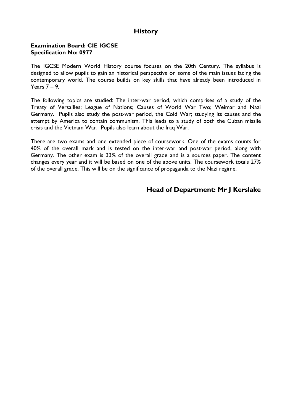## **History**

#### **Examination Board: CIE IGCSE Specification No: 0977**

The IGCSE Modern World History course focuses on the 20th Century. The syllabus is designed to allow pupils to gain an historical perspective on some of the main issues facing the contemporary world. The course builds on key skills that have already been introduced in Years 7 – 9.

The following topics are studied: The inter-war period, which comprises of a study of the Treaty of Versailles; League of Nations; Causes of World War Two; Weimar and Nazi Germany. Pupils also study the post-war period, the Cold War; studying its causes and the attempt by America to contain communism. This leads to a study of both the Cuban missile crisis and the Vietnam War. Pupils also learn about the Iraq War.

There are two exams and one extended piece of coursework. One of the exams counts for 40% of the overall mark and is tested on the inter-war and post-war period, along with Germany. The other exam is 33% of the overall grade and is a sources paper. The content changes every year and it will be based on one of the above units. The coursework totals 27% of the overall grade. This will be on the significance of propaganda to the Nazi regime.

## **Head of Department: Mr J Kerslake**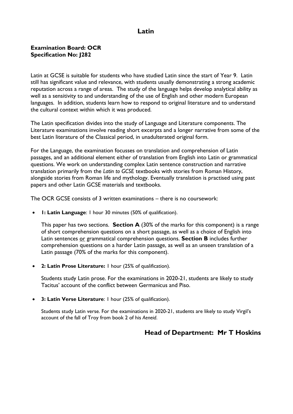## **Latin**

#### **Examination Board: OCR Specification No: J282**

Latin at GCSE is suitable for students who have studied Latin since the start of Year 9. Latin still has significant value and relevance, with students usually demonstrating a strong academic reputation across a range of areas. The study of the language helps develop analytical ability as well as a sensitivity to and understanding of the use of English and other modern European languages. In addition, students learn how to respond to original literature and to understand the cultural context within which it was produced.

The Latin specification divides into the study of Language and Literature components. The Literature examinations involve reading short excerpts and a longer narrative from some of the best Latin literature of the Classical period, in unadulterated original form.

For the Language, the examination focusses on translation and comprehension of Latin passages, and an additional element either of translation from English into Latin or grammatical questions. We work on understanding complex Latin sentence construction and narrative translation primarily from the *Latin to GCSE* textbooks with stories from Roman History, alongside stories from Roman life and mythology. Eventually translation is practised using past papers and other Latin GCSE materials and textbooks.

The OCR GCSE consists of 3 written examinations – there is no coursework:

**1: Latin Language**: 1 hour 30 minutes (50% of qualification).

This paper has two sections. **Section A** (30% of the marks for this component) is a range of short comprehension questions on a short passage, as well as a choice of English into Latin sentences or grammatical comprehension questions. **Section B** includes further comprehension questions on a harder Latin passage, as well as an unseen translation of a Latin passage (70% of the marks for this component).

**2: Latin Prose Literature:** 1 hour (25% of qualification).

Students study Latin prose. For the examinations in 2020-21, students are likely to study Tacitus' account of the conflict between Germanicus and Piso.

**3: Latin Verse Literature**: 1 hour (25% of qualification).

Students study Latin verse. For the examinations in 2020-21, students are likely to study Virgil's account of the fall of Troy from book 2 of his *Aeneid*.

## **Head of Department: Mr T Hoskins**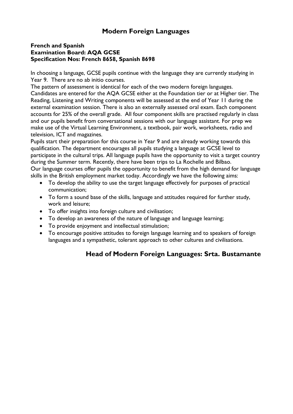## **Modern Foreign Languages**

#### **French and Spanish Examination Board: AQA GCSE Specification Nos: French 8658, Spanish 8698**

In choosing a language, GCSE pupils continue with the language they are currently studying in Year 9. There are no ab initio courses.

The pattern of assessment is identical for each of the two modern foreign languages. Candidates are entered for the AQA GCSE either at the Foundation tier or at Higher tier. The Reading, Listening and Writing components will be assessed at the end of Year 11 during the external examination session. There is also an externally assessed oral exam. Each component accounts for 25% of the overall grade. All four component skills are practised regularly in class and our pupils benefit from conversational sessions with our language assistant. For prep we make use of the Virtual Learning Environment, a textbook, pair work, worksheets, radio and television, ICT and magazines.

Pupils start their preparation for this course in Year 9 and are already working towards this qualification. The department encourages all pupils studying a language at GCSE level to participate in the cultural trips. All language pupils have the opportunity to visit a target country during the Summer term. Recently, there have been trips to La Rochelle and Bilbao. Our language courses offer pupils the opportunity to benefit from the high demand for language skills in the British employment market today. Accordingly we have the following aims:

- To develop the ability to use the target language effectively for purposes of practical communication;
- To form a sound base of the skills, language and attitudes required for further study, work and leisure;
- To offer insights into foreign culture and civilisation;
- To develop an awareness of the nature of language and language learning;
- To provide enjoyment and intellectual stimulation;
- To encourage positive attitudes to foreign language learning and to speakers of foreign languages and a sympathetic, tolerant approach to other cultures and civilisations.

## **Head of Modern Foreign Languages: Srta. Bustamante**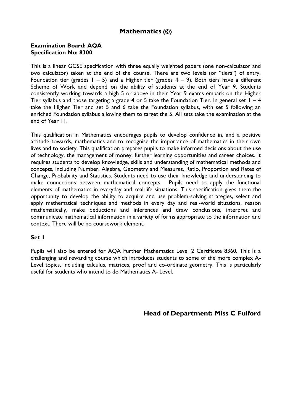## **Mathematics (©)**

#### **Examination Board: AQA Specification No: 8300**

This is a linear GCSE specification with three equally weighted papers (one non-calculator and two calculator) taken at the end of the course. There are two levels (or "tiers") of entry, Foundation tier (grades  $1 - 5$ ) and a Higher tier (grades  $4 - 9$ ). Both tiers have a different Scheme of Work and depend on the ability of students at the end of Year 9. Students consistently working towards a high 5 or above in their Year 9 exams embark on the Higher Tier syllabus and those targeting a grade 4 or 5 take the Foundation Tier. In general set  $1 - 4$ take the Higher Tier and set 5 and 6 take the Foundation syllabus, with set 5 following an enriched Foundation syllabus allowing them to target the 5. All sets take the examination at the end of Year 11.

This qualification in Mathematics encourages pupils to develop confidence in, and a positive attitude towards, mathematics and to recognise the importance of mathematics in their own lives and to society. This qualification prepares pupils to make informed decisions about the use of technology, the management of money, further learning opportunities and career choices. It requires students to develop knowledge, skills and understanding of mathematical methods and concepts, including Number, Algebra, Geometry and Measures, Ratio, Proportion and Rates of Change, Probability and Statistics. Students need to use their knowledge and understanding to make connections between mathematical concepts. Pupils need to apply the functional elements of mathematics in everyday and real-life situations. This specification gives them the opportunity to develop the ability to acquire and use problem-solving strategies, select and apply mathematical techniques and methods in every day and real-world situations, reason mathematically, make deductions and inferences and draw conclusions, interpret and communicate mathematical information in a variety of forms appropriate to the information and context. There will be no coursework element.

#### **Set 1**

Pupils will also be entered for AQA Further Mathematics Level 2 Certificate 8360. This is a challenging and rewarding course which introduces students to some of the more complex A-Level topics, including calculus, matrices, proof and co-ordinate geometry. This is particularly useful for students who intend to do Mathematics A- Level.

**Head of Department: Miss C Fulford**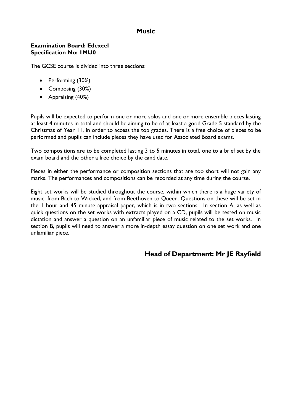## **Music**

#### **Examination Board: Edexcel Specification No: 1MU0**

The GCSE course is divided into three sections:

- Performing (30%)
- Composing (30%)
- Appraising (40%)

Pupils will be expected to perform one or more solos and one or more ensemble pieces lasting at least 4 minutes in total and should be aiming to be of at least a good Grade 5 standard by the Christmas of Year 11, in order to access the top grades. There is a free choice of pieces to be performed and pupils can include pieces they have used for Associated Board exams.

Two compositions are to be completed lasting 3 to 5 minutes in total, one to a brief set by the exam board and the other a free choice by the candidate.

Pieces in either the performance or composition sections that are too short will not gain any marks. The performances and compositions can be recorded at any time during the course.

Eight set works will be studied throughout the course, within which there is a huge variety of music; from Bach to Wicked, and from Beethoven to Queen. Questions on these will be set in the 1 hour and 45 minute appraisal paper, which is in two sections. In section A, as well as quick questions on the set works with extracts played on a CD, pupils will be tested on music dictation and answer a question on an unfamiliar piece of music related to the set works. In section B, pupils will need to answer a more in-depth essay question on one set work and one unfamiliar piece.

## **Head of Department: Mr JE Rayfield**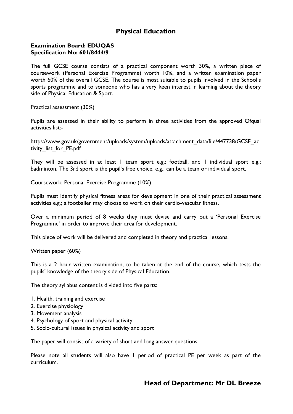## **Physical Education**

#### **Examination Board: EDUQAS Specification No: 601/8444/9**

The full GCSE course consists of a practical component worth 30%, a written piece of coursework (Personal Exercise Programme) worth 10%, and a written examination paper worth 60% of the overall GCSE. The course is most suitable to pupils involved in the School's sports programme and to someone who has a very keen interest in learning about the theory side of Physical Education & Sport.

Practical assessment (30%)

Pupils are assessed in their ability to perform in three activities from the approved Ofqual activities list:-

[https://www.gov.uk/government/uploads/system/uploads/attachment\\_data/file/447738/GCSE\\_ac](https://www.gov.uk/government/uploads/system/uploads/attachment_data/file/447738/GCSE_activity_list_for_PE.pdf) [tivity\\_list\\_for\\_PE.pdf](https://www.gov.uk/government/uploads/system/uploads/attachment_data/file/447738/GCSE_activity_list_for_PE.pdf)

They will be assessed in at least I team sport e.g.; football, and I individual sport e.g.; badminton. The 3rd sport is the pupil's free choice, e.g.; can be a team or individual sport.

Coursework: Personal Exercise Programme (10%)

Pupils must identify physical fitness areas for development in one of their practical assessment activities e.g.; a footballer may choose to work on their cardio-vascular fitness.

Over a minimum period of 8 weeks they must devise and carry out a 'Personal Exercise Programme' in order to improve their area for development.

This piece of work will be delivered and completed in theory and practical lessons.

Written paper (60%)

This is a 2 hour written examination, to be taken at the end of the course, which tests the pupils' knowledge of the theory side of Physical Education.

The theory syllabus content is divided into five parts:

- 1. Health, training and exercise
- 2. Exercise physiology
- 3. Movement analysis
- 4. Psychology of sport and physical activity
- 5. Socio-cultural issues in physical activity and sport

The paper will consist of a variety of short and long answer questions.

Please note all students will also have 1 period of practical PE per week as part of the curriculum.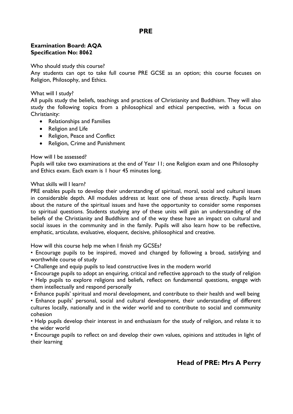## **PRE**

#### **Examination Board: AQA Specification No: 8062**

Who should study this course?

Any students can opt to take full course PRE GCSE as an option; this course focuses on Religion, Philosophy, and Ethics.

#### What will I study?

All pupils study the beliefs, teachings and practices of Christianity and Buddhism. They will also study the following topics from a philosophical and ethical perspective, with a focus on Christianity:

- Relationships and Families
- Religion and Life
- Religion, Peace and Conflict
- Religion, Crime and Punishment

#### How will I be assessed?

Pupils will take two examinations at the end of Year 11; one Religion exam and one Philosophy and Ethics exam. Each exam is 1 hour 45 minutes long.

#### What skills will I learn?

PRE enables pupils to develop their understanding of spiritual, moral, social and cultural issues in considerable depth. All modules address at least one of these areas directly. Pupils learn about the nature of the spiritual issues and have the opportunity to consider some responses to spiritual questions. Students studying any of these units will gain an understanding of the beliefs of the Christianity and Buddhism and of the way these have an impact on cultural and social issues in the community and in the family. Pupils will also learn how to be reflective, emphatic, articulate, evaluative, eloquent, decisive, philosophical and creative.

How will this course help me when I finish my GCSEs?

• Encourage pupils to be inspired, moved and changed by following a broad, satisfying and worthwhile course of study

- Challenge and equip pupils to lead constructive lives in the modern world
- Encourage pupils to adopt an enquiring, critical and reflective approach to the study of religion
- Help pupils to explore religions and beliefs, reflect on fundamental questions, engage with them intellectually and respond personally

• Enhance pupils' spiritual and moral development, and contribute to their health and well being • Enhance pupils' personal, social and cultural development, their understanding of different

cultures locally, nationally and in the wider world and to contribute to social and community cohesion

• Help pupils develop their interest in and enthusiasm for the study of religion, and relate it to the wider world

• Encourage pupils to reflect on and develop their own values, opinions and attitudes in light of their learning

## **Head of PRE: Mrs A Perry**